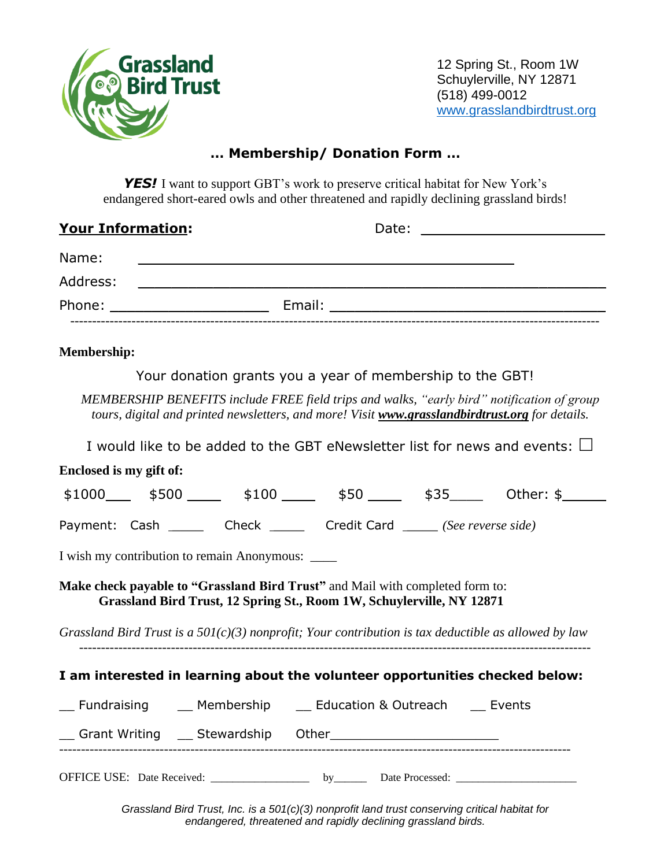

12 Spring St., Room 1W Schuylerville, NY 12871 (518) 499-0012 [www.grasslandbirdtrust.org](http://www.grasslandbirdtrust.org/)

## **… Membership/ Donation Form …**

**YES!** I want to support GBT's work to preserve critical habitat for New York's endangered short-eared owls and other threatened and rapidly declining grassland birds!

| <b>Your Information:</b> |  |                                                                                                                      | Date:                                                                                                         |  |
|--------------------------|--|----------------------------------------------------------------------------------------------------------------------|---------------------------------------------------------------------------------------------------------------|--|
| Name:                    |  |                                                                                                                      |                                                                                                               |  |
| Address:                 |  | <u> 1980 - Jan Samuel Barbara, margaret e populazion del control del control del control del control de la provi</u> |                                                                                                               |  |
| Phone:                   |  |                                                                                                                      | Email: Email: All and the state of the state of the state of the state of the state of the state of the state |  |
|                          |  |                                                                                                                      |                                                                                                               |  |

## **Membership:**

Your donation grants you a year of membership to the GBT!

*MEMBERSHIP BENEFITS include FREE field trips and walks, "early bird" notification of group tours, digital and printed newsletters, and more! Visit www.grasslandbirdtrust.org for details.*

I would like to be added to the GBT eNewsletter list for news and events:  $\Box$ 

| Enclosed is my gift of:                                                                                                                                |  |  |  |  |  |  |  |  |  |
|--------------------------------------------------------------------------------------------------------------------------------------------------------|--|--|--|--|--|--|--|--|--|
| $$1000$ \$500 \$100 \$100 \$50 \$50 \$35 0 0ther: \$                                                                                                   |  |  |  |  |  |  |  |  |  |
| Payment: Cash ______ Check ______ Credit Card _____ (See reverse side)                                                                                 |  |  |  |  |  |  |  |  |  |
| I wish my contribution to remain Anonymous:                                                                                                            |  |  |  |  |  |  |  |  |  |
| Make check payable to "Grassland Bird Trust" and Mail with completed form to:<br>Grassland Bird Trust, 12 Spring St., Room 1W, Schuylerville, NY 12871 |  |  |  |  |  |  |  |  |  |
| Grassland Bird Trust is a $50I(c)(3)$ nonprofit; Your contribution is tax deductible as allowed by law                                                 |  |  |  |  |  |  |  |  |  |
| I am interested in learning about the volunteer opportunities checked below:                                                                           |  |  |  |  |  |  |  |  |  |
| __ Fundraising ____ Membership ____ Education & Outreach ____ Events                                                                                   |  |  |  |  |  |  |  |  |  |
|                                                                                                                                                        |  |  |  |  |  |  |  |  |  |
|                                                                                                                                                        |  |  |  |  |  |  |  |  |  |

*Grassland Bird Trust, Inc. is a 501(c)(3) nonprofit land trust conserving critical habitat for endangered, threatened and rapidly declining grassland birds.*